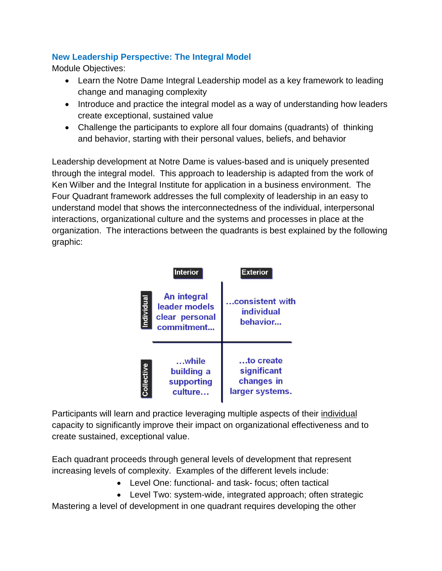## **New Leadership Perspective: The Integral Model**

Module Objectives:

- Learn the Notre Dame Integral Leadership model as a key framework to leading change and managing complexity
- Introduce and practice the integral model as a way of understanding how leaders create exceptional, sustained value
- Challenge the participants to explore all four domains (quadrants) of thinking and behavior, starting with their personal values, beliefs, and behavior

Leadership development at Notre Dame is values-based and is uniquely presented through the integral model. This approach to leadership is adapted from the work of Ken Wilber and the Integral Institute for application in a business environment. The Four Quadrant framework addresses the full complexity of leadership in an easy to understand model that shows the interconnectedness of the individual, interpersonal interactions, organizational culture and the systems and processes in place at the organization. The interactions between the quadrants is best explained by the following graphic:

|            | <b>Interior</b>                                                     | <b>Exterior</b>                                           |
|------------|---------------------------------------------------------------------|-----------------------------------------------------------|
| Individual | <b>An integral</b><br>leader models<br>clear personal<br>commitment | consistent with<br><b>individual</b><br>behavior          |
| Collective | while<br>building a<br>supporting<br>culture                        | to create<br>significant<br>changes in<br>larger systems. |

Participants will learn and practice leveraging multiple aspects of their individual capacity to significantly improve their impact on organizational effectiveness and to create sustained, exceptional value.

Each quadrant proceeds through general levels of development that represent increasing levels of complexity. Examples of the different levels include:

- Level One: functional- and task- focus; often tactical
- Level Two: system-wide, integrated approach; often strategic

Mastering a level of development in one quadrant requires developing the other